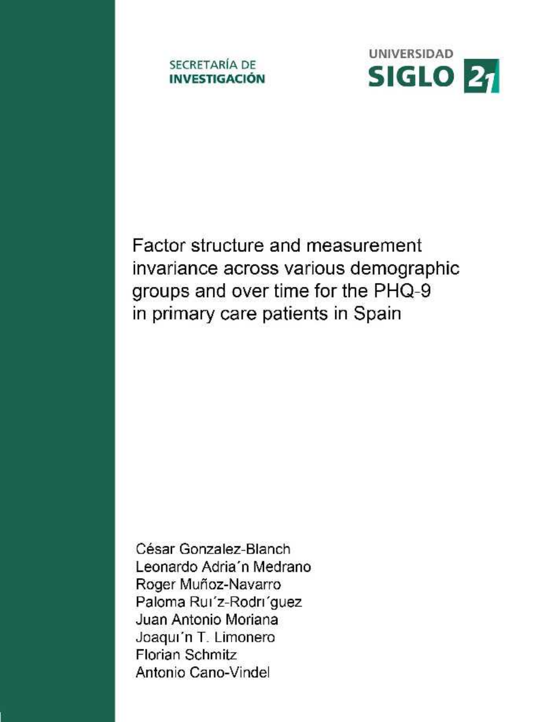



Factor structure and measurement invariance across various demographic groups and over time for the PHQ-9 in primary care patients in Spain

César Gonzalez-Blanch Leonardo Adria'n Medrano Roger Muñoz-Navarro Paloma Rui'z-Rodri'quez Juan Antonio Moriana Joaqui'n T. Limonero **Florian Schmitz** Antonio Cano-Vindel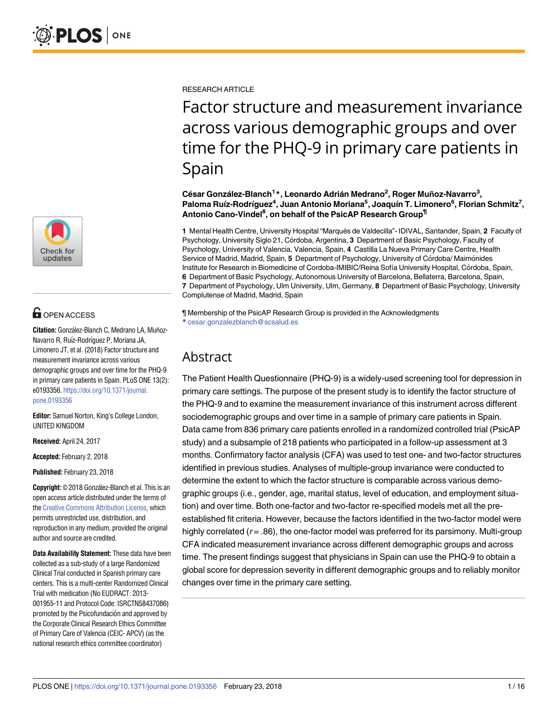

# **OPEN ACCESS**

**Citation:** González-Blanch C, Medrano LA, Muñoz-Navarro R, Ruíz-Rodríguez P, Moriana JA, Limonero JT, et al. (2018) Factor structure and measurement invariance across various demographic groups and over time for the PHQ-9 in primary care patients in Spain. PLoS ONE 13(2): e0193356. https://doi.org/10.1371/journal. pone.0193356

**Editor:** Samuel Norton, King's College London, UNITED KINGDOM

**Received:** April 24, 2017

**Accepted:** February 2, 2018

**Published:** February 23, 2018

**Copyright:** © 2018 González-Blanch et al. This is an open access article distributed under the terms of the Creative Commons Attribution License, which permits unrestricted use, distribution, and reproduction in any medium, provided the original author and source are credited.

**Data Availability Statement:** These data have been collected as a sub-study of a large Randomized Clinical Trial conducted in Spanish primary care centers. This is a multi-center Randomized Clinical Trial with medication (No EUDRACT: 2013- 001955-11 and Protocol Code: ISRCTN58437086) promoted by the Psicofundación and approved by the Corporate Clinical Research Ethics Committee of Primary Care of Valencia (CEIC- APCV) (as the national research ethics committee coordinator)

RESEARCH ARTICLE

# Factor structure and measurement invariance across various demographic groups and over time for the PHQ-9 in primary care patients in Spain

**Ce´sar Gonza´lez-Blanch1 \*, Leonardo Adria´n Medrano2 , Roger Muñoz-Navarro3 , Paloma Ruı´z-Rodrı´guez4 , Juan Antonio Moriana5 , Joaquı´n T. Limonero6 , Florian Schmitz7 , Antonio Cano-Vindel8 , on behalf of the PsicAP Research Group¶**

1 Mental Health Centre, University Hospital "Marqués de Valdecilla"- IDIVAL, Santander, Spain, 2 Faculty of Psychology, University Siglo 21, Córdoba, Argentina, 3 Department of Basic Psychology, Faculty of Psychology, University of Valencia, Valencia, Spain, **4** Castilla La Nueva Primary Care Centre, Health Service of Madrid, Madrid, Spain, 5 Department of Psychology, University of Córdoba/ Maimónides Institute for Research in Biomedicine of Cordoba-IMIBIC/Reina Sofía University Hospital, Córdoba, Spain, **6** Department of Basic Psychology, Autonomous University of Barcelona, Bellaterra, Barcelona, Spain, **7** Department of Psychology, Ulm University, Ulm, Germany, **8** Department of Basic Psychology, University Complutense of Madrid, Madrid, Spain

¶ Membership of the PsicAP Research Group is provided in the Acknowledgments \* cesar.gonzalezblanch@scsalud.es

## Abstract

The Patient Health Questionnaire (PHQ-9) is a widely-used screening tool for depression in primary care settings. The purpose of the present study is to identify the factor structure of the PHQ-9 and to examine the measurement invariance of this instrument across different sociodemographic groups and over time in a sample of primary care patients in Spain. Data came from 836 primary care patients enrolled in a randomized controlled trial (PsicAP study) and a subsample of 218 patients who participated in a follow-up assessment at 3 months. Confirmatory factor analysis (CFA) was used to test one- and two-factor structures identified in previous studies. Analyses of multiple-group invariance were conducted to determine the extent to which the factor structure is comparable across various demographic groups (i.e., gender, age, marital status, level of education, and employment situation) and over time. Both one-factor and two-factor re-specified models met all the preestablished fit criteria. However, because the factors identified in the two-factor model were highly correlated ( $r = .86$ ), the one-factor model was preferred for its parsimony. Multi-group CFA indicated measurement invariance across different demographic groups and across time. The present findings suggest that physicians in Spain can use the PHQ-9 to obtain a global score for depression severity in different demographic groups and to reliably monitor changes over time in the primary care setting.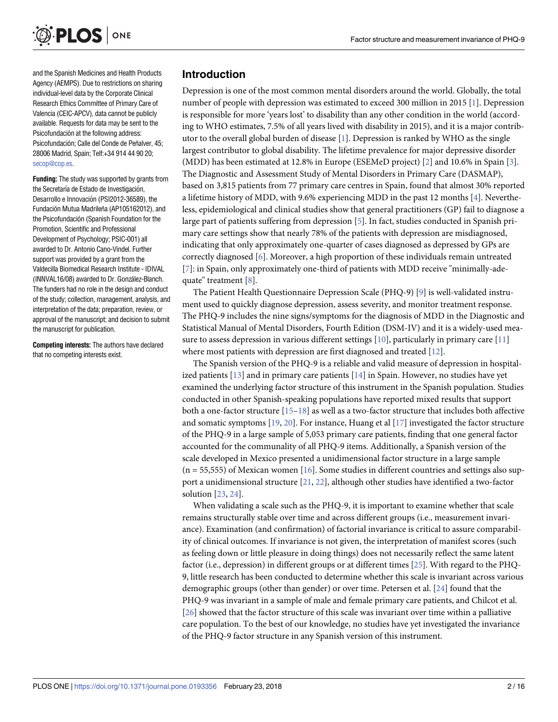

and the Spanish Medicines and Health Products Agency (AEMPS). Due to restrictions on sharing individual-level data by the Corporate Clinical Research Ethics Committee of Primary Care of Valencia (CEIC-APCV), data cannot be publicly available. Requests for data may be sent to the Psicofundación at the following address: Psicofundación; Calle del Conde de Peñalver, 45; 28006 Madrid, Spain; Telf:+34 914 44 90 20; secop@cop.es.

**Funding:** The study was supported by grants from the Secretaría de Estado de Investigación, Desarrollo e Innovación (PSI2012-36589), the Fundación Mutua Madrileña (AP105162012), and the Psicofundación (Spanish Foundation for the Promotion, Scientific and Professional Development of Psychology; PSIC-001) all awarded to Dr. Antonio Cano-Vindel. Further support was provided by a grant from the Valdecilla Biomedical Research Institute - IDIVAL (INNVAL16/08) awarded to Dr. González-Blanch. The funders had no role in the design and conduct of the study; collection, management, analysis, and interpretation of the data; preparation, review, or approval of the manuscript; and decision to submit the manuscript for publication.

**Competing interests:** The authors have declared that no competing interests exist.

### **Introduction**

Depression is one of the most common mental disorders around the world. Globally, the total number of people with depression was estimated to exceed 300 million in 2015 [1]. Depression is responsible for more 'years lost' to disability than any other condition in the world (according to WHO estimates, 7.5% of all years lived with disability in 2015), and it is a major contributor to the overall global burden of disease [1]. Depression is ranked by WHO as the single largest contributor to global disability. The lifetime prevalence for major depressive disorder (MDD) has been estimated at 12.8% in Europe (ESEMeD project) [2] and 10.6% in Spain [3]. The Diagnostic and Assessment Study of Mental Disorders in Primary Care (DASMAP), based on 3,815 patients from 77 primary care centres in Spain, found that almost 30% reported a lifetime history of MDD, with 9.6% experiencing MDD in the past 12 months [4]. Nevertheless, epidemiological and clinical studies show that general practitioners (GP) fail to diagnose a large part of patients suffering from depression [5]. In fact, studies conducted in Spanish primary care settings show that nearly 78% of the patients with depression are misdiagnosed, indicating that only approximately one-quarter of cases diagnosed as depressed by GPs are correctly diagnosed [6]. Moreover, a high proportion of these individuals remain untreated [7]: in Spain, only approximately one-third of patients with MDD receive "minimally-adequate" treatment [8].

The Patient Health Questionnaire Depression Scale (PHQ-9) [9] is well-validated instrument used to quickly diagnose depression, assess severity, and monitor treatment response. The PHQ-9 includes the nine signs/symptoms for the diagnosis of MDD in the Diagnostic and Statistical Manual of Mental Disorders, Fourth Edition (DSM-IV) and it is a widely-used measure to assess depression in various different settings  $[10]$ , particularly in primary care  $[11]$ where most patients with depression are first diagnosed and treated [12].

The Spanish version of the PHQ-9 is a reliable and valid measure of depression in hospitalized patients [13] and in primary care patients [14] in Spain. However, no studies have yet examined the underlying factor structure of this instrument in the Spanish population. Studies conducted in other Spanish-speaking populations have reported mixed results that support both a one-factor structure [15–18] as well as a two-factor structure that includes both affective and somatic symptoms [19, 20]. For instance, Huang et al [17] investigated the factor structure of the PHQ-9 in a large sample of 5,053 primary care patients, finding that one general factor accounted for the communality of all PHQ-9 items. Additionally, a Spanish version of the scale developed in Mexico presented a unidimensional factor structure in a large sample  $(n = 55,555)$  of Mexican women [16]. Some studies in different countries and settings also support a unidimensional structure [21, 22], although other studies have identified a two-factor solution [23, 24].

When validating a scale such as the PHQ-9, it is important to examine whether that scale remains structurally stable over time and across different groups (i.e., measurement invariance). Examination (and confirmation) of factorial invariance is critical to assure comparability of clinical outcomes. If invariance is not given, the interpretation of manifest scores (such as feeling down or little pleasure in doing things) does not necessarily reflect the same latent factor (i.e., depression) in different groups or at different times [25]. With regard to the PHQ-9, little research has been conducted to determine whether this scale is invariant across various demographic groups (other than gender) or over time. Petersen et al. [24] found that the PHQ-9 was invariant in a sample of male and female primary care patients, and Chilcot et al. [26] showed that the factor structure of this scale was invariant over time within a palliative care population. To the best of our knowledge, no studies have yet investigated the invariance of the PHQ-9 factor structure in any Spanish version of this instrument.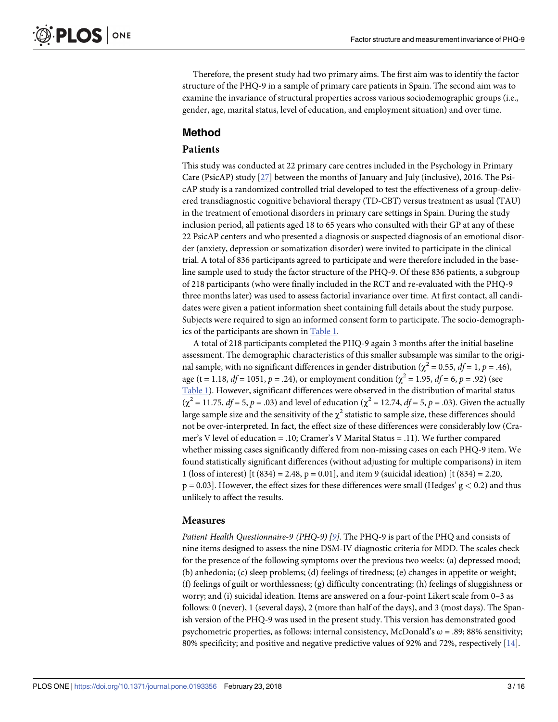Therefore, the present study had two primary aims. The first aim was to identify the factor structure of the PHQ-9 in a sample of primary care patients in Spain. The second aim was to examine the invariance of structural properties across various sociodemographic groups (i.e., gender, age, marital status, level of education, and employment situation) and over time.

### **Method**

### **Patients**

This study was conducted at 22 primary care centres included in the Psychology in Primary Care (PsicAP) study [27] between the months of January and July (inclusive), 2016. The PsicAP study is a randomized controlled trial developed to test the effectiveness of a group-delivered transdiagnostic cognitive behavioral therapy (TD-CBT) versus treatment as usual (TAU) in the treatment of emotional disorders in primary care settings in Spain. During the study inclusion period, all patients aged 18 to 65 years who consulted with their GP at any of these 22 PsicAP centers and who presented a diagnosis or suspected diagnosis of an emotional disorder (anxiety, depression or somatization disorder) were invited to participate in the clinical trial. A total of 836 participants agreed to participate and were therefore included in the baseline sample used to study the factor structure of the PHQ-9. Of these 836 patients, a subgroup of 218 participants (who were finally included in the RCT and re-evaluated with the PHQ-9 three months later) was used to assess factorial invariance over time. At first contact, all candidates were given a patient information sheet containing full details about the study purpose. Subjects were required to sign an informed consent form to participate. The socio-demographics of the participants are shown in Table 1.

A total of 218 participants completed the PHQ-9 again 3 months after the initial baseline assessment. The demographic characteristics of this smaller subsample was similar to the original sample, with no significant differences in gender distribution ( $\chi^2$  = 0.55, *df* = 1, *p* = .46), age (t = 1.18,  $df = 1051$ ,  $p = .24$ ), or employment condition ( $\chi^2 = 1.95$ ,  $df = 6$ ,  $p = .92$ ) (see Table 1). However, significant differences were observed in the distribution of marital status  $(\chi^2 = 11.75, df = 5, p = .03)$  and level of education  $(\chi^2 = 12.74, df = 5, p = .03)$ . Given the actually large sample size and the sensitivity of the  $\chi^2$  statistic to sample size, these differences should not be over-interpreted. In fact, the effect size of these differences were considerably low (Cramer's V level of education = .10; Cramer's V Marital Status = .11). We further compared whether missing cases significantly differed from non-missing cases on each PHQ-9 item. We found statistically significant differences (without adjusting for multiple comparisons) in item 1 (loss of interest)  $[t (834) = 2.48, p = 0.01]$ , and item 9 (suicidal ideation)  $[t (834) = 2.20]$ , p = 0.03]. However, the effect sizes for these differences were small (Hedges' g *<* 0.2) and thus unlikely to affect the results.

### **Measures**

*Patient Health Questionnaire-9 (PHQ-9) [9].* The PHQ-9 is part of the PHQ and consists of nine items designed to assess the nine DSM-IV diagnostic criteria for MDD. The scales check for the presence of the following symptoms over the previous two weeks: (a) depressed mood; (b) anhedonia; (c) sleep problems; (d) feelings of tiredness; (e) changes in appetite or weight; (f) feelings of guilt or worthlessness; (g) difficulty concentrating; (h) feelings of sluggishness or worry; and (i) suicidal ideation. Items are answered on a four-point Likert scale from 0–3 as follows: 0 (never), 1 (several days), 2 (more than half of the days), and 3 (most days). The Spanish version of the PHQ-9 was used in the present study. This version has demonstrated good psychometric properties, as follows: internal consistency, McDonald's  $\omega$  = .89; 88% sensitivity; 80% specificity; and positive and negative predictive values of 92% and 72%, respectively [14].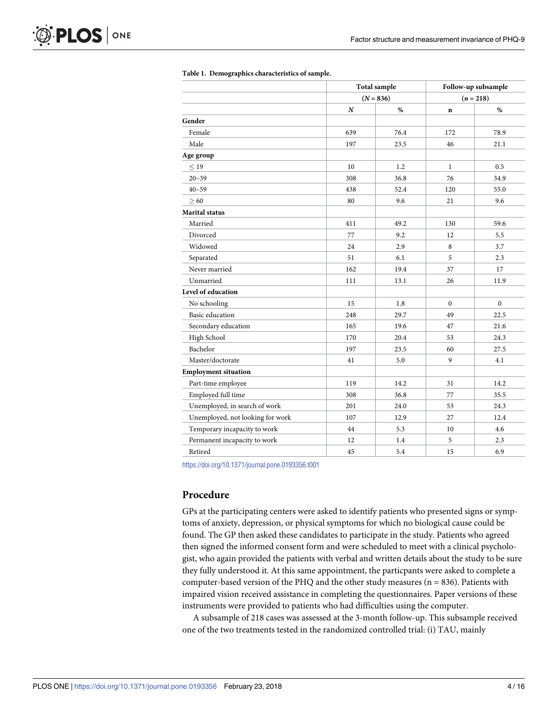|                                  |     | <b>Total sample</b> |              | Follow-up subsample |  |  |
|----------------------------------|-----|---------------------|--------------|---------------------|--|--|
|                                  |     | $(N = 836)$         | $(n = 218)$  |                     |  |  |
|                                  | N   | $\%$                | $\mathbf n$  | %                   |  |  |
| Gender                           |     |                     |              |                     |  |  |
| Female                           | 639 | 76.4                | 172          | 78.9                |  |  |
| Male                             | 197 | 23.5                | 46           | 21.1                |  |  |
| Age group                        |     |                     |              |                     |  |  |
| $\leq 19$                        | 10  | 1.2                 | $\mathbf{1}$ | 0.5                 |  |  |
| $20 - 39$                        | 308 | 36.8                | 76           | 34.9                |  |  |
| $40 - 59$                        | 438 | 52.4                | 120          | 55.0                |  |  |
| >60                              | 80  | 9.6                 | 21           | 9.6                 |  |  |
| <b>Marital</b> status            |     |                     |              |                     |  |  |
| Married                          | 411 | 49.2                | 130          | 59.6                |  |  |
| Divorced                         | 77  | 9.2                 | 12           | 5.5                 |  |  |
| Widowed                          | 24  | 2.9                 | 8            | 3.7                 |  |  |
| Separated                        | 51  | 6.1                 | 5            | 2.3                 |  |  |
| Never married                    | 162 | 19.4                | 37           | 17                  |  |  |
| Unmarried                        | 111 | 13.1                | 26           | 11.9                |  |  |
| Level of education               |     |                     |              |                     |  |  |
| No schooling                     | 15  | 1.8                 | $\mathbf{0}$ | $\mathbf{0}$        |  |  |
| Basic education                  | 248 | 29.7                | 49           | 22.5                |  |  |
| Secondary education              | 165 | 19.6                | 47           | 21.6                |  |  |
| High School                      | 170 | 20.4                | 53           | 24.3                |  |  |
| Bachelor                         | 197 | 23.5                | 60           | 27.5                |  |  |
| Master/doctorate                 | 41  | 5.0                 | 9            | 4.1                 |  |  |
| <b>Employment situation</b>      |     |                     |              |                     |  |  |
| Part-time employee               | 119 | 14.2                | 31           | 14.2                |  |  |
| Employed full time               | 308 | 36.8                | 77           | 35.5                |  |  |
| Unemployed, in search of work    | 201 | 24.0                | 53           | 24.3                |  |  |
| Unemployed, not looking for work | 107 | 12.9                | 27           | 12.4                |  |  |
| Temporary incapacity to work     | 44  | 5.3                 | 10           | 4.6                 |  |  |
| Permanent incapacity to work     | 12  | 1.4                 | 5            | 2.3                 |  |  |
| Retired                          | 45  | 5.4                 | 15           | 6.9                 |  |  |

#### **Table 1. Demographics characteristics of sample.**

https://doi.org/10.1371/journal.pone.0193356.t001

### **Procedure**

GPs at the participating centers were asked to identify patients who presented signs or symptoms of anxiety, depression, or physical symptoms for which no biological cause could be found. The GP then asked these candidates to participate in the study. Patients who agreed then signed the informed consent form and were scheduled to meet with a clinical psychologist, who again provided the patients with verbal and written details about the study to be sure they fully understood it. At this same appointment, the particpants were asked to complete a computer-based version of the PHQ and the other study measures (n = 836). Patients with impaired vision received assistance in completing the questionnaires. Paper versions of these instruments were provided to patients who had difficulties using the computer.

A subsample of 218 cases was assessed at the 3-month follow-up. This subsample received one of the two treatments tested in the randomized controlled trial: (i) TAU, mainly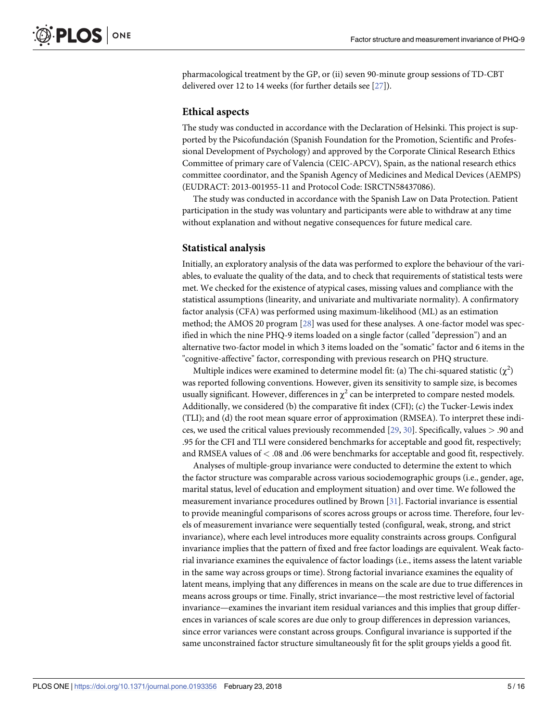pharmacological treatment by the GP, or (ii) seven 90-minute group sessions of TD-CBT delivered over 12 to 14 weeks (for further details see [27]).

### **Ethical aspects**

The study was conducted in accordance with the Declaration of Helsinki. This project is supported by the Psicofundación (Spanish Foundation for the Promotion, Scientific and Professional Development of Psychology) and approved by the Corporate Clinical Research Ethics Committee of primary care of Valencia (CEIC-APCV), Spain, as the national research ethics committee coordinator, and the Spanish Agency of Medicines and Medical Devices (AEMPS) (EUDRACT: 2013-001955-11 and Protocol Code: ISRCTN58437086).

The study was conducted in accordance with the Spanish Law on Data Protection. Patient participation in the study was voluntary and participants were able to withdraw at any time without explanation and without negative consequences for future medical care.

### **Statistical analysis**

Initially, an exploratory analysis of the data was performed to explore the behaviour of the variables, to evaluate the quality of the data, and to check that requirements of statistical tests were met. We checked for the existence of atypical cases, missing values and compliance with the statistical assumptions (linearity, and univariate and multivariate normality). A confirmatory factor analysis (CFA) was performed using maximum-likelihood (ML) as an estimation method; the AMOS 20 program [28] was used for these analyses. A one-factor model was specified in which the nine PHQ-9 items loaded on a single factor (called "depression") and an alternative two-factor model in which 3 items loaded on the "somatic" factor and 6 items in the "cognitive-affective" factor, corresponding with previous research on PHQ structure.

Multiple indices were examined to determine model fit: (a) The chi-squared statistic  $(\chi^2)$ was reported following conventions. However, given its sensitivity to sample size, is becomes usually significant. However, differences in  $\chi^2$  can be interpreted to compare nested models. Additionally, we considered (b) the comparative fit index (CFI); (c) the Tucker-Lewis index (TLI); and (d) the root mean square error of approximation (RMSEA). To interpret these indices, we used the critical values previously recommended [29, 30]. Specifically, values *>* .90 and .95 for the CFI and TLI were considered benchmarks for acceptable and good fit, respectively; and RMSEA values of *<* .08 and .06 were benchmarks for acceptable and good fit, respectively.

Analyses of multiple-group invariance were conducted to determine the extent to which the factor structure was comparable across various sociodemographic groups (i.e., gender, age, marital status, level of education and employment situation) and over time. We followed the measurement invariance procedures outlined by Brown [31]. Factorial invariance is essential to provide meaningful comparisons of scores across groups or across time. Therefore, four levels of measurement invariance were sequentially tested (configural, weak, strong, and strict invariance), where each level introduces more equality constraints across groups. Configural invariance implies that the pattern of fixed and free factor loadings are equivalent. Weak factorial invariance examines the equivalence of factor loadings (i.e., items assess the latent variable in the same way across groups or time). Strong factorial invariance examines the equality of latent means, implying that any differences in means on the scale are due to true differences in means across groups or time. Finally, strict invariance—the most restrictive level of factorial invariance—examines the invariant item residual variances and this implies that group differences in variances of scale scores are due only to group differences in depression variances, since error variances were constant across groups. Configural invariance is supported if the same unconstrained factor structure simultaneously fit for the split groups yields a good fit.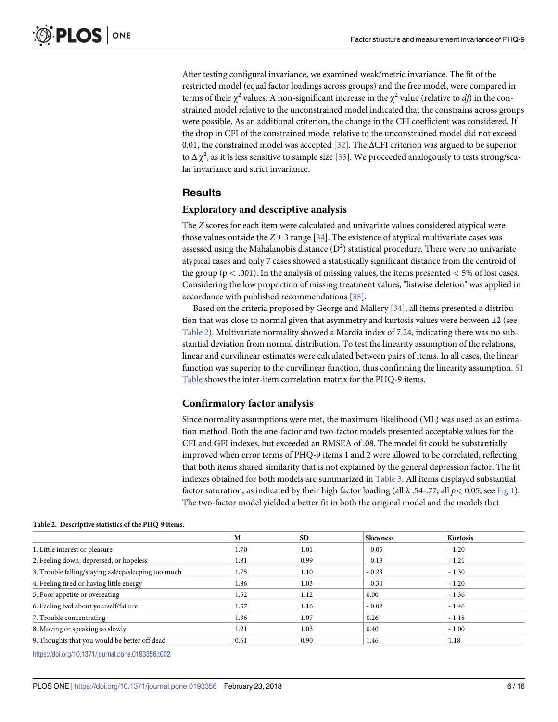After testing configural invariance, we examined weak/metric invariance. The fit of the restricted model (equal factor loadings across groups) and the free model, were compared in terms of their  $\chi^2$  values. A non-significant increase in the  $\chi^2$  value (relative to *df*) in the constrained model relative to the unconstrained model indicated that the constrains across groups were possible. As an additional criterion, the change in the CFI coefficient was considered. If the drop in CFI of the constrained model relative to the unconstrained model did not exceed 0.01, the constrained model was accepted [32]. The ΔCFI criterion was argued to be superior to  $\Delta \chi^2$ , as it is less sensitive to sample size [33]. We proceeded analogously to tests strong/scalar invariance and strict invariance.

### **Results**

### **Exploratory and descriptive analysis**

The *Z* scores for each item were calculated and univariate values considered atypical were those values outside the  $Z \pm 3$  range [34]. The existence of atypical multivariate cases was assessed using the Mahalanobis distance ( $D^2$ ) statistical procedure. There were no univariate atypical cases and only 7 cases showed a statistically significant distance from the centroid of the group (p *<* .001). In the analysis of missing values, the items presented *<* 5% of lost cases. Considering the low proportion of missing treatment values, "listwise deletion" was applied in accordance with published recommendations [35].

Based on the criteria proposed by George and Mallery [34], all items presented a distribution that was close to normal given that asymmetry and kurtosis values were between  $\pm 2$  (see Table 2). Multivariate normality showed a Mardia index of 7.24, indicating there was no substantial deviation from normal distribution. To test the linearity assumption of the relations, linear and curvilinear estimates were calculated between pairs of items. In all cases, the linear function was superior to the curvilinear function, thus confirming the linearity assumption. S1 Table shows the inter-item correlation matrix for the PHQ-9 items.

### **Confirmatory factor analysis**

Since normality assumptions were met, the maximum-likelihood (ML) was used as an estimation method. Both the one-factor and two-factor models presented acceptable values for the CFI and GFI indexes, but exceeded an RMSEA of .08. The model fit could be substantially improved when error terms of PHQ-9 items 1 and 2 were allowed to be correlated, reflecting that both items shared similarity that is not explained by the general depression factor. The fit indexes obtained for both models are summarized in Table 3. All items displayed substantial factor saturation, as indicated by their high factor loading (all  $\lambda$  .54-.77; all  $p$  < 0.05; see Fig 1). The two-factor model yielded a better fit in both the original model and the models that

| M    | <b>SD</b> |         | Kurtosis        |
|------|-----------|---------|-----------------|
| 1.70 | 1.01      | $-0.05$ | $-1.20$         |
| 1.81 | 0.99      | $-0.13$ | $-1.21$         |
| 1.75 | 1.10      | $-0.23$ | $-1.30$         |
| 1.86 | 1.03      | $-0.30$ | $-1.20$         |
| 1.52 | 1.12      | 0.00    | $-1.36$         |
| 1.57 | 1.16      | $-0.02$ | $-1.46$         |
| 1.36 | 1.07      | 0.26    | $-1.18$         |
| 1.21 | 1.03      | 0.40    | $-1.00$         |
| 0.61 | 0.90      | 1.46    | 1.18            |
|      |           |         | <b>Skewness</b> |

#### **Table 2. Descriptive statistics of the PHQ-9 items.**

PLOS ONE

https://doi.org/10.1371/journal.pone.0193356.t002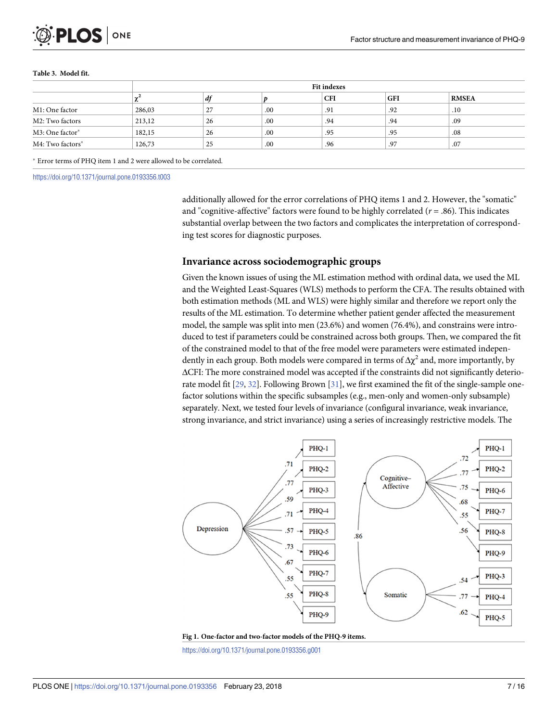

#### **Table 3. Model fit.**

|                  | <b>Fit indexes</b> |                 |      |            |            |              |
|------------------|--------------------|-----------------|------|------------|------------|--------------|
|                  |                    | $\mathcal{A}$ f |      | <b>CFI</b> | <b>GFI</b> | <b>RMSEA</b> |
| M1: One factor   | 286,03             | 27              | .00  | .91        | .92        | .10          |
| M2: Two factors  | 213,12             | 26              | .00  | .94        | .94        | .09          |
| M3: One factor*  | 182,15             | 26              | .00. | .95        | .95        | .08          |
| M4: Two factors* | 126,73             | 25              | .00. | .96        | .97        | .07          |

Error terms of PHQ item 1 and 2 were allowed to be correlated.

https://doi.org/10.1371/journal.pone.0193356.t003

additionally allowed for the error correlations of PHQ items 1 and 2. However, the "somatic" and "cognitive-affective" factors were found to be highly correlated (*r* = .86). This indicates substantial overlap between the two factors and complicates the interpretation of corresponding test scores for diagnostic purposes.

### **Invariance across sociodemographic groups**

Given the known issues of using the ML estimation method with ordinal data, we used the ML and the Weighted Least-Squares (WLS) methods to perform the CFA. The results obtained with both estimation methods (ML and WLS) were highly similar and therefore we report only the results of the ML estimation. To determine whether patient gender affected the measurement model, the sample was split into men (23.6%) and women (76.4%), and constrains were introduced to test if parameters could be constrained across both groups. Then, we compared the fit of the constrained model to that of the free model were parameters were estimated independently in each group. Both models were compared in terms of  $\Delta \chi^2$  and, more importantly, by ΔCFI: The more constrained model was accepted if the constraints did not significantly deteriorate model fit [29, 32]. Following Brown [31], we first examined the fit of the single-sample onefactor solutions within the specific subsamples (e.g., men-only and women-only subsample) separately. Next, we tested four levels of invariance (configural invariance, weak invariance, strong invariance, and strict invariance) using a series of increasingly restrictive models. The





https://doi.org/10.1371/journal.pone.0193356.g001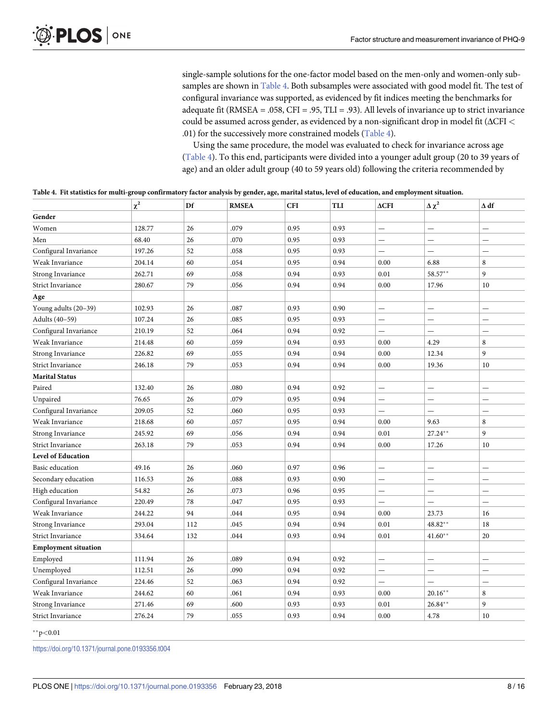single-sample solutions for the one-factor model based on the men-only and women-only subsamples are shown in Table 4. Both subsamples were associated with good model fit. The test of configural invariance was supported, as evidenced by fit indices meeting the benchmarks for adequate fit (RMSEA = .058, CFI = .95, TLI = .93). All levels of invariance up to strict invariance could be assumed across gender, as evidenced by a non-significant drop in model fit (ΔCFI *<* .01) for the successively more constrained models (Table 4).

Using the same procedure, the model was evaluated to check for invariance across age (Table 4). To this end, participants were divided into a younger adult group (20 to 39 years of age) and an older adult group (40 to 59 years old) following the criteria recommended by

|  |  |  | Table 4. Fit statistics for multi-group confirmatory factor analysis by gender, age, marital status, level of education, and employment situation. |  |
|--|--|--|----------------------------------------------------------------------------------------------------------------------------------------------------|--|
|  |  |  |                                                                                                                                                    |  |
|  |  |  |                                                                                                                                                    |  |

|                             | $\chi^2$ | Df  | <b>RMSEA</b> | <b>CFI</b> | TLI  | $\Delta$ CFI             | $\Delta \chi^2$          | $\Delta df$              |
|-----------------------------|----------|-----|--------------|------------|------|--------------------------|--------------------------|--------------------------|
| Gender                      |          |     |              |            |      |                          |                          |                          |
| Women                       | 128.77   | 26  | .079         | 0.95       | 0.93 |                          | $\overline{\phantom{0}}$ |                          |
| Men                         | 68.40    | 26  | .070         | 0.95       | 0.93 |                          | $\overline{\phantom{0}}$ |                          |
| Configural Invariance       | 197.26   | 52  | .058         | 0.95       | 0.93 | $\overline{\phantom{0}}$ | $\overline{\phantom{0}}$ |                          |
| Weak Invariance             | 204.14   | 60  | .054         | 0.95       | 0.94 | 0.00                     | 6.88                     | 8                        |
| Strong Invariance           | 262.71   | 69  | .058         | 0.94       | 0.93 | 0.01                     | 58.57**                  | 9                        |
| Strict Invariance           | 280.67   | 79  | .056         | 0.94       | 0.94 | 0.00                     | 17.96                    | 10                       |
| Age                         |          |     |              |            |      |                          |                          |                          |
| Young adults (20-39)        | 102.93   | 26  | .087         | 0.93       | 0.90 | -                        | —                        |                          |
| Adults (40-59)              | 107.24   | 26  | .085         | 0.95       | 0.93 | —                        | $\overline{\phantom{0}}$ | $\qquad \qquad -$        |
| Configural Invariance       | 210.19   | 52  | .064         | 0.94       | 0.92 | —                        | —                        | $\qquad \qquad -$        |
| Weak Invariance             | 214.48   | 60  | .059         | 0.94       | 0.93 | 0.00                     | 4.29                     | 8                        |
| Strong Invariance           | 226.82   | 69  | .055         | 0.94       | 0.94 | 0.00                     | 12.34                    | 9                        |
| Strict Invariance           | 246.18   | 79  | .053         | 0.94       | 0.94 | 0.00                     | 19.36                    | 10                       |
| <b>Marital Status</b>       |          |     |              |            |      |                          |                          |                          |
| Paired                      | 132.40   | 26  | .080         | 0.94       | 0.92 | $\overline{\phantom{0}}$ |                          |                          |
| Unpaired                    | 76.65    | 26  | .079         | 0.95       | 0.94 | $\overline{\phantom{0}}$ |                          | $\overline{\phantom{0}}$ |
| Configural Invariance       | 209.05   | 52  | .060         | 0.95       | 0.93 | $\overline{\phantom{0}}$ | $\overline{\phantom{0}}$ | $\equiv$                 |
| Weak Invariance             | 218.68   | 60  | .057         | 0.95       | 0.94 | 0.00                     | 9.63                     | 8                        |
| <b>Strong Invariance</b>    | 245.92   | 69  | .056         | 0.94       | 0.94 | 0.01                     | $27.24***$               | 9                        |
| <b>Strict Invariance</b>    | 263.18   | 79  | .053         | 0.94       | 0.94 | 0.00                     | 17.26                    | 10                       |
| <b>Level of Education</b>   |          |     |              |            |      |                          |                          |                          |
| Basic education             | 49.16    | 26  | .060         | 0.97       | 0.96 | $\overline{\phantom{0}}$ | $\equiv$                 |                          |
| Secondary education         | 116.53   | 26  | .088         | 0.93       | 0.90 | $\overline{\phantom{0}}$ | $\overline{\phantom{0}}$ |                          |
| High education              | 54.82    | 26  | .073         | 0.96       | 0.95 | $\overline{\phantom{0}}$ |                          |                          |
| Configural Invariance       | 220.49   | 78  | .047         | 0.95       | 0.93 |                          |                          |                          |
| Weak Invariance             | 244.22   | 94  | .044         | 0.95       | 0.94 | 0.00                     | 23.73                    | 16                       |
| Strong Invariance           | 293.04   | 112 | .045         | 0.94       | 0.94 | 0.01                     | 48.82**                  | 18                       |
| Strict Invariance           | 334.64   | 132 | .044         | 0.93       | 0.94 | 0.01                     | $41.60**$                | 20                       |
| <b>Employment situation</b> |          |     |              |            |      |                          |                          |                          |
| Employed                    | 111.94   | 26  | .089         | 0.94       | 0.92 | —                        | —                        |                          |
| Unemployed                  | 112.51   | 26  | .090         | 0.94       | 0.92 | -                        | -                        |                          |
| Configural Invariance       | 224.46   | 52  | .063         | 0.94       | 0.92 | $\overline{\phantom{0}}$ |                          |                          |
| Weak Invariance             | 244.62   | 60  | .061         | 0.94       | 0.93 | 0.00                     | $20.16***$               | 8                        |
| Strong Invariance           | 271.46   | 69  | .600         | 0.93       | 0.93 | 0.01                     | $26.84***$               | 9                        |
| Strict Invariance           | 276.24   | 79  | .055         | 0.93       | 0.94 | 0.00                     | 4.78                     | 10                       |

p*<*0.01

https://doi.org/10.1371/journal.pone.0193356.t004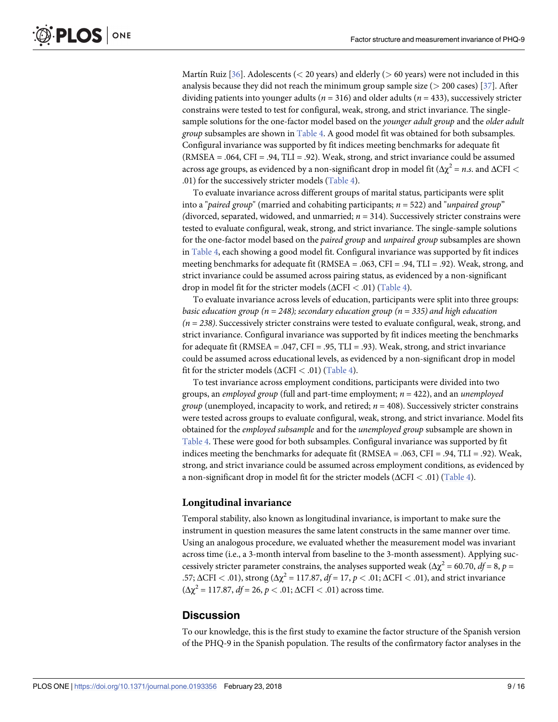Martı´n Ruiz [36]. Adolescents (*<* 20 years) and elderly (*>* 60 years) were not included in this analysis because they did not reach the minimum group sample size (*>* 200 cases) [37]. After dividing patients into younger adults (*n* = 316) and older adults (*n* = 433), successively stricter constrains were tested to test for configural, weak, strong, and strict invariance. The singlesample solutions for the one-factor model based on the *younger adult group* and the *older adult group* subsamples are shown in Table 4. A good model fit was obtained for both subsamples. Configural invariance was supported by fit indices meeting benchmarks for adequate fit (RMSEA = .064, CFI = .94, TLI = .92). Weak, strong, and strict invariance could be assumed across age groups, as evidenced by a non-significant drop in model fit ( $\Delta \chi^2 = n.s$ ) and  $\Delta$ CFI  $\lt$ .01) for the successively stricter models (Table 4).

To evaluate invariance across different groups of marital status, participants were split into a "*paired group*" (married and cohabiting participants; *n* = 522) and "*unpaired group*" *(*divorced, separated, widowed, and unmarried; *n* = 314). Successively stricter constrains were tested to evaluate configural, weak, strong, and strict invariance. The single-sample solutions for the one-factor model based on the *paired group* and *unpaired group* subsamples are shown in Table 4, each showing a good model fit. Configural invariance was supported by fit indices meeting benchmarks for adequate fit (RMSEA = .063, CFI = .94, TLI = .92). Weak, strong, and strict invariance could be assumed across pairing status, as evidenced by a non-significant drop in model fit for the stricter models (ΔCFI *<* .01) (Table 4).

To evaluate invariance across levels of education, participants were split into three groups: *basic education group (n = 248); secondary education group (n = 335) and high education (n = 238)*. Successively stricter constrains were tested to evaluate configural, weak, strong, and strict invariance. Configural invariance was supported by fit indices meeting the benchmarks for adequate fit (RMSEA = .047, CFI = .95, TLI = .93). Weak, strong, and strict invariance could be assumed across educational levels, as evidenced by a non-significant drop in model fit for the stricter models (ΔCFI *<* .01) (Table 4).

To test invariance across employment conditions, participants were divided into two groups, an *employed group* (full and part-time employment; *n* = 422), and an *unemployed group* (unemployed, incapacity to work, and retired; *n* = 408). Successively stricter constrains were tested across groups to evaluate configural, weak, strong, and strict invariance. Model fits obtained for the *employed subsample* and for the *unemployed group* subsample are shown in Table 4. These were good for both subsamples. Configural invariance was supported by fit indices meeting the benchmarks for adequate fit (RMSEA = .063, CFI = .94, TLI = .92). Weak, strong, and strict invariance could be assumed across employment conditions, as evidenced by a non-significant drop in model fit for the stricter models (ΔCFI *<* .01) (Table 4).

### **Longitudinal invariance**

Temporal stability, also known as longitudinal invariance, is important to make sure the instrument in question measures the same latent constructs in the same manner over time. Using an analogous procedure, we evaluated whether the measurement model was invariant across time (i.e., a 3-month interval from baseline to the 3-month assessment). Applying successively stricter parameter constrains, the analyses supported weak ( $\Delta \chi^2$  = 60.70, *df* = 8, *p* = .57;  $\Delta$ CFI < .01), strong ( $\Delta \chi^2$  = 117.87,  $df$  = 17,  $p$  < .01;  $\Delta$ CFI < .01), and strict invariance  $(\Delta \chi^2 = 117.87, df = 26, p < .01; \Delta CFI < .01)$  across time.

### **Discussion**

To our knowledge, this is the first study to examine the factor structure of the Spanish version of the PHQ-9 in the Spanish population. The results of the confirmatory factor analyses in the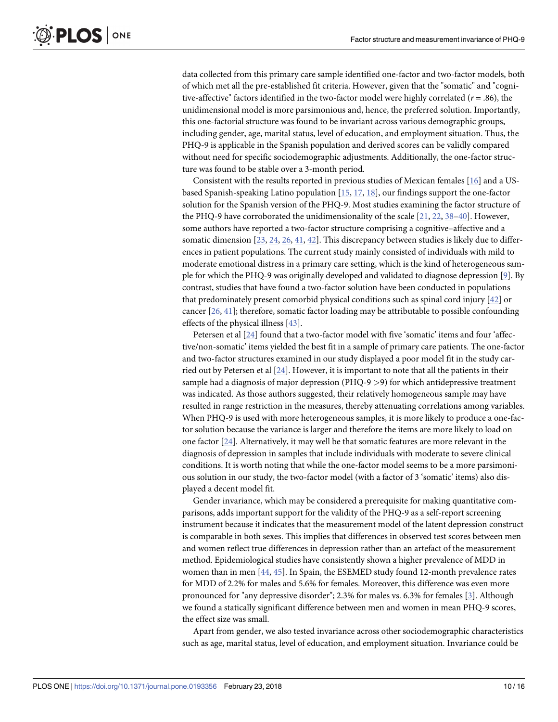data collected from this primary care sample identified one-factor and two-factor models, both of which met all the pre-established fit criteria. However, given that the "somatic" and "cognitive-affective" factors identified in the two-factor model were highly correlated (*r* = .86), the unidimensional model is more parsimonious and, hence, the preferred solution. Importantly, this one-factorial structure was found to be invariant across various demographic groups, including gender, age, marital status, level of education, and employment situation. Thus, the PHQ-9 is applicable in the Spanish population and derived scores can be validly compared without need for specific sociodemographic adjustments. Additionally, the one-factor structure was found to be stable over a 3-month period.

Consistent with the results reported in previous studies of Mexican females [16] and a USbased Spanish-speaking Latino population [15, 17, 18], our findings support the one-factor solution for the Spanish version of the PHQ-9. Most studies examining the factor structure of the PHQ-9 have corroborated the unidimensionality of the scale [21, 22, 38–40]. However, some authors have reported a two-factor structure comprising a cognitive–affective and a somatic dimension [23, 24, 26, 41, 42]. This discrepancy between studies is likely due to differences in patient populations. The current study mainly consisted of individuals with mild to moderate emotional distress in a primary care setting, which is the kind of heterogeneous sample for which the PHQ-9 was originally developed and validated to diagnose depression [9]. By contrast, studies that have found a two-factor solution have been conducted in populations that predominately present comorbid physical conditions such as spinal cord injury [42] or cancer [26, 41]; therefore, somatic factor loading may be attributable to possible confounding effects of the physical illness [43].

Petersen et al [24] found that a two-factor model with five 'somatic' items and four 'affective/non-somatic' items yielded the best fit in a sample of primary care patients. The one-factor and two-factor structures examined in our study displayed a poor model fit in the study carried out by Petersen et al [24]. However, it is important to note that all the patients in their sample had a diagnosis of major depression (PHQ-9 *>*9) for which antidepressive treatment was indicated. As those authors suggested, their relatively homogeneous sample may have resulted in range restriction in the measures, thereby attenuating correlations among variables. When PHQ-9 is used with more heterogeneous samples, it is more likely to produce a one-factor solution because the variance is larger and therefore the items are more likely to load on one factor [24]. Alternatively, it may well be that somatic features are more relevant in the diagnosis of depression in samples that include individuals with moderate to severe clinical conditions. It is worth noting that while the one-factor model seems to be a more parsimonious solution in our study, the two-factor model (with a factor of 3 'somatic' items) also displayed a decent model fit.

Gender invariance, which may be considered a prerequisite for making quantitative comparisons, adds important support for the validity of the PHQ-9 as a self-report screening instrument because it indicates that the measurement model of the latent depression construct is comparable in both sexes. This implies that differences in observed test scores between men and women reflect true differences in depression rather than an artefact of the measurement method. Epidemiological studies have consistently shown a higher prevalence of MDD in women than in men [44, 45]. In Spain, the ESEMED study found 12-month prevalence rates for MDD of 2.2% for males and 5.6% for females. Moreover, this difference was even more pronounced for "any depressive disorder"; 2.3% for males vs. 6.3% for females [3]. Although we found a statically significant difference between men and women in mean PHQ-9 scores, the effect size was small.

Apart from gender, we also tested invariance across other sociodemographic characteristics such as age, marital status, level of education, and employment situation. Invariance could be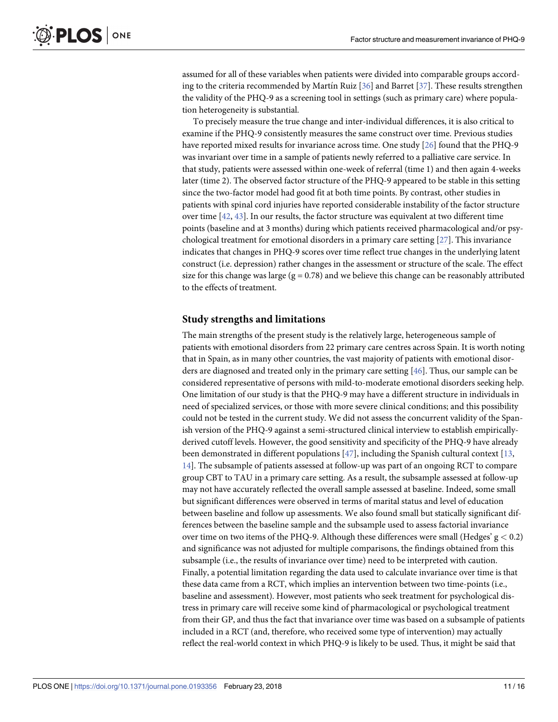assumed for all of these variables when patients were divided into comparable groups according to the criteria recommended by Martín Ruiz  $[36]$  and Barret  $[37]$ . These results strengthen the validity of the PHQ-9 as a screening tool in settings (such as primary care) where population heterogeneity is substantial.

To precisely measure the true change and inter-individual differences, it is also critical to examine if the PHQ-9 consistently measures the same construct over time. Previous studies have reported mixed results for invariance across time. One study [26] found that the PHQ-9 was invariant over time in a sample of patients newly referred to a palliative care service. In that study, patients were assessed within one-week of referral (time 1) and then again 4-weeks later (time 2). The observed factor structure of the PHQ-9 appeared to be stable in this setting since the two-factor model had good fit at both time points. By contrast, other studies in patients with spinal cord injuries have reported considerable instability of the factor structure over time [42, 43]. In our results, the factor structure was equivalent at two different time points (baseline and at 3 months) during which patients received pharmacological and/or psychological treatment for emotional disorders in a primary care setting [27]. This invariance indicates that changes in PHQ-9 scores over time reflect true changes in the underlying latent construct (i.e. depression) rather changes in the assessment or structure of the scale. The effect size for this change was large  $(g = 0.78)$  and we believe this change can be reasonably attributed to the effects of treatment.

### **Study strengths and limitations**

The main strengths of the present study is the relatively large, heterogeneous sample of patients with emotional disorders from 22 primary care centres across Spain. It is worth noting that in Spain, as in many other countries, the vast majority of patients with emotional disorders are diagnosed and treated only in the primary care setting [46]. Thus, our sample can be considered representative of persons with mild-to-moderate emotional disorders seeking help. One limitation of our study is that the PHQ-9 may have a different structure in individuals in need of specialized services, or those with more severe clinical conditions; and this possibility could not be tested in the current study. We did not assess the concurrent validity of the Spanish version of the PHQ-9 against a semi-structured clinical interview to establish empiricallyderived cutoff levels. However, the good sensitivity and specificity of the PHQ-9 have already been demonstrated in different populations [47], including the Spanish cultural context [13, 14]. The subsample of patients assessed at follow-up was part of an ongoing RCT to compare group CBT to TAU in a primary care setting. As a result, the subsample assessed at follow-up may not have accurately reflected the overall sample assessed at baseline. Indeed, some small but significant differences were observed in terms of marital status and level of education between baseline and follow up assessments. We also found small but statically significant differences between the baseline sample and the subsample used to assess factorial invariance over time on two items of the PHQ-9. Although these differences were small (Hedges'  $g < 0.2$ ) and significance was not adjusted for multiple comparisons, the findings obtained from this subsample (i.e., the results of invariance over time) need to be interpreted with caution. Finally, a potential limitation regarding the data used to calculate invariance over time is that these data came from a RCT, which implies an intervention between two time-points (i.e., baseline and assessment). However, most patients who seek treatment for psychological distress in primary care will receive some kind of pharmacological or psychological treatment from their GP, and thus the fact that invariance over time was based on a subsample of patients included in a RCT (and, therefore, who received some type of intervention) may actually reflect the real-world context in which PHQ-9 is likely to be used. Thus, it might be said that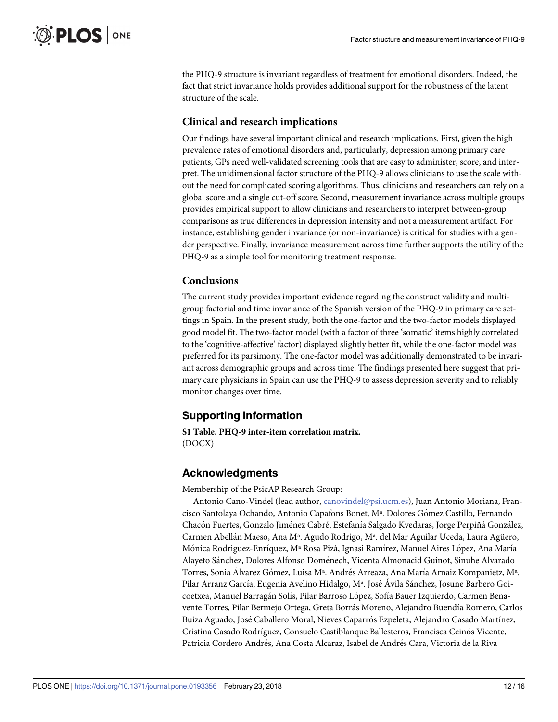the PHQ-9 structure is invariant regardless of treatment for emotional disorders. Indeed, the fact that strict invariance holds provides additional support for the robustness of the latent structure of the scale.

### **Clinical and research implications**

Our findings have several important clinical and research implications. First, given the high prevalence rates of emotional disorders and, particularly, depression among primary care patients, GPs need well-validated screening tools that are easy to administer, score, and interpret. The unidimensional factor structure of the PHQ-9 allows clinicians to use the scale without the need for complicated scoring algorithms. Thus, clinicians and researchers can rely on a global score and a single cut-off score. Second, measurement invariance across multiple groups provides empirical support to allow clinicians and researchers to interpret between-group comparisons as true differences in depression intensity and not a measurement artifact. For instance, establishing gender invariance (or non-invariance) is critical for studies with a gender perspective. Finally, invariance measurement across time further supports the utility of the PHQ-9 as a simple tool for monitoring treatment response.

### **Conclusions**

The current study provides important evidence regarding the construct validity and multigroup factorial and time invariance of the Spanish version of the PHQ-9 in primary care settings in Spain. In the present study, both the one-factor and the two-factor models displayed good model fit. The two-factor model (with a factor of three 'somatic' items highly correlated to the 'cognitive-affective' factor) displayed slightly better fit, while the one-factor model was preferred for its parsimony. The one-factor model was additionally demonstrated to be invariant across demographic groups and across time. The findings presented here suggest that primary care physicians in Spain can use the PHQ-9 to assess depression severity and to reliably monitor changes over time.

### **Supporting information**

**S1 Table. PHQ-9 inter-item correlation matrix.** (DOCX)

### **Acknowledgments**

Membership of the PsicAP Research Group:

Antonio Cano-Vindel (lead author, canovindel@psi.ucm.es), Juan Antonio Moriana, Francisco Santolaya Ochando, Antonio Capafons Bonet, Mª. Dolores Gómez Castillo, Fernando Chacón Fuertes, Gonzalo Jiménez Cabré, Estefanía Salgado Kvedaras, Jorge Perpiñá González, Carmen Abellán Maeso, Ana Mª. Agudo Rodrigo, Mª. del Mar Aguilar Uceda, Laura Agüero, Mónica Rodriguez-Enríquez, Mª Rosa Pizà, Ignasi Ramírez, Manuel Aires López, Ana María Alayeto Sánchez, Dolores Alfonso Doménech, Vicenta Almonacid Guinot, Sinuhe Alvarado Torres, Sonia Álvarez Gómez, Luisa Mª. Andrés Arreaza, Ana María Arnaiz Kompanietz, Mª. Pilar Arranz García, Eugenia Avelino Hidalgo, Mª. José Ávila Sánchez, Josune Barbero Goicoetxea, Manuel Barragán Solís, Pilar Barroso López, Sofía Bauer Izquierdo, Carmen Benavente Torres, Pilar Bermejo Ortega, Greta Borra´s Moreno, Alejandro Buendı´a Romero, Carlos Buiza Aguado, José Caballero Moral, Nieves Caparrós Ezpeleta, Alejandro Casado Martínez, Cristina Casado Rodrı´guez, Consuelo Castiblanque Ballesteros, Francisca Ceino´s Vicente, Patricia Cordero Andrés, Ana Costa Alcaraz, Isabel de Andrés Cara, Victoria de la Riva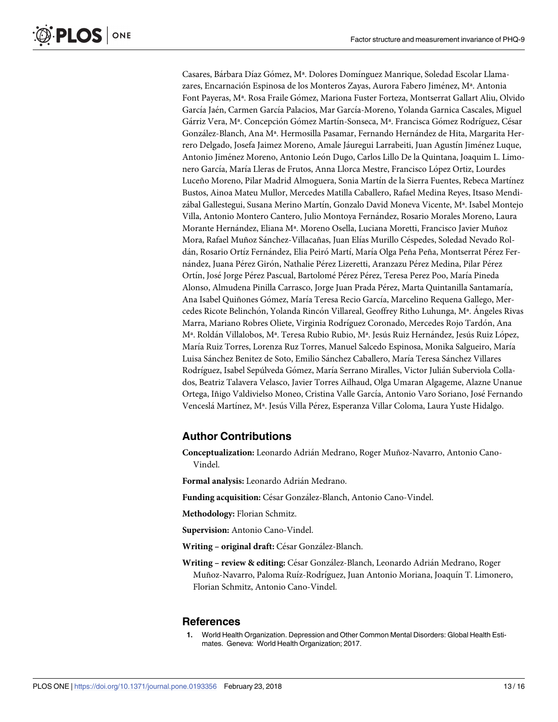Casares, Bárbara Díaz Gómez, Mª. Dolores Domínguez Manrique, Soledad Escolar Llamazares, Encarnación Espinosa de los Monteros Zayas, Aurora Fabero Jiménez, Mª. Antonia Font Payeras, Mª. Rosa Fraile Gómez, Mariona Fuster Forteza, Montserrat Gallart Aliu, Olvido García Jaén, Carmen García Palacios, Mar García-Moreno, Yolanda Garnica Cascales, Miguel Gárriz Vera, Mª. Concepción Gómez Martín-Sonseca, Mª. Francisca Gómez Rodríguez, César González-Blanch, Ana Mª. Hermosilla Pasamar, Fernando Hernández de Hita, Margarita Herrero Delgado, Josefa Jaimez Moreno, Amale Jáuregui Larrabeiti, Juan Agustín Jiménez Luque, Antonio Jiménez Moreno, Antonio León Dugo, Carlos Lillo De la Quintana, Joaquim L. Limonero García, María Lleras de Frutos, Anna Llorca Mestre, Francisco López Ortiz, Lourdes Luceño Moreno, Pilar Madrid Almoguera, Sonia Martín de la Sierra Fuentes, Rebeca Martínez Bustos, Ainoa Mateu Mullor, Mercedes Matilla Caballero, Rafael Medina Reyes, Itsaso Mendizábal Gallestegui, Susana Merino Martín, Gonzalo David Moneva Vicente, Mª. Isabel Montejo Villa, Antonio Montero Cantero, Julio Montoya Ferna´ndez, Rosario Morales Moreno, Laura Morante Hernández, Eliana Mª. Moreno Osella, Luciana Moretti, Francisco Javier Muñoz Mora, Rafael Muñoz Sánchez-Villacañas, Juan Elías Murillo Céspedes, Soledad Nevado Roldán, Rosario Ortíz Fernández, Elia Peiró Martí, María Olga Peña Peña, Montserrat Pérez Fernández, Juana Pérez Girón, Nathalie Pérez Lizeretti, Aranzazu Pérez Medina, Pilar Pérez Ortín, José Jorge Pérez Pascual, Bartolomé Pérez Pérez, Teresa Perez Poo, María Pineda Alonso, Almudena Pinilla Carrasco, Jorge Juan Prada Pérez, Marta Quintanilla Santamaría, Ana Isabel Quiñones Gómez, María Teresa Recio García, Marcelino Requena Gallego, Mercedes Ricote Belinchón, Yolanda Rincón Villareal, Geoffrey Ritho Luhunga, Mª. Ángeles Rivas Marra, Mariano Robres Oliete, Virginia Rodríguez Coronado, Mercedes Rojo Tardón, Ana Mª. Roldán Villalobos, Mª. Teresa Rubio Rubio, Mª. Jesús Ruiz Hernández, Jesús Ruiz López, María Ruiz Torres, Lorenza Ruz Torres, Manuel Salcedo Espinosa, Monika Salgueiro, María Luisa Sánchez Benitez de Soto, Emilio Sánchez Caballero, María Teresa Sánchez Villares Rodríguez, Isabel Sepúlveda Gómez, María Serrano Miralles, Victor Julián Suberviola Collados, Beatriz Talavera Velasco, Javier Torres Ailhaud, Olga Umaran Algageme, Alazne Unanue Ortega, Iñigo Valdivielso Moneo, Cristina Valle Garcı´a, Antonio Varo Soriano, Jose´ Fernando Venceslá Martínez, Mª. Jesús Villa Pérez, Esperanza Villar Coloma, Laura Yuste Hidalgo.

### **Author Contributions**

**Conceptualization:** Leonardo Adria´n Medrano, Roger Muñoz-Navarro, Antonio Cano-Vindel.

**Formal analysis:** Leonardo Adria´n Medrano.

**Funding acquisition:** César González-Blanch, Antonio Cano-Vindel.

**Methodology:** Florian Schmitz.

**Supervision:** Antonio Cano-Vindel.

**Writing - original draft:** César González-Blanch.

**Writing – review & editing:** César González-Blanch, Leonardo Adrián Medrano, Roger Muñoz-Navarro, Paloma Ruı´z-Rodrı´guez, Juan Antonio Moriana, Joaquı´n T. Limonero, Florian Schmitz, Antonio Cano-Vindel.

### **References**

**1.** World Health Organization. Depression and Other Common Mental Disorders: Global Health Estimates. Geneva: World Health Organization; 2017.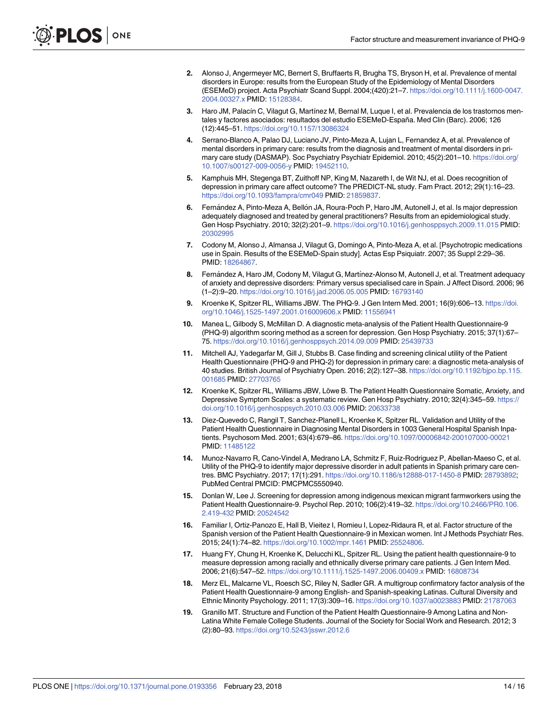- **2.** Alonso J, Angermeyer MC, Bernert S, Bruffaerts R, Brugha TS, Bryson H, et al. Prevalence of mental disorders in Europe: results from the European Study of the Epidemiology of Mental Disorders (ESEMeD) project. Acta Psychiatr Scand Suppl. 2004;(420):21–7. https://doi.org/10.1111/j.1600-0047. 2004.00327.x PMID: 15128384.
- **3.** Haro JM, Palacín C, Vilagut G, Martínez M, Bernal M, Luque I, et al. Prevalencia de los trastornos mentales y factores asociados: resultados del estudio ESEMeD-España. Med Clin (Barc). 2006; 126 (12):445–51. https://doi.org/10.1157/13086324
- **4.** Serrano-Blanco A, Palao DJ, Luciano JV, Pinto-Meza A, Lujan L, Fernandez A, et al. Prevalence of mental disorders in primary care: results from the diagnosis and treatment of mental disorders in primary care study (DASMAP). Soc Psychiatry Psychiatr Epidemiol. 2010; 45(2):201–10. https://doi.org/ 10.1007/s00127-009-0056-y PMID: 19452110.
- **5.** Kamphuis MH, Stegenga BT, Zuithoff NP, King M, Nazareth I, de Wit NJ, et al. Does recognition of depression in primary care affect outcome? The PREDICT-NL study. Fam Pract. 2012; 29(1):16–23. https://doi.org/10.1093/fampra/cmr049 PMID: 21859837.
- **6.** Fernández A, Pinto-Meza A, Bellón JA, Roura-Poch P, Haro JM, Autonell J, et al. Is major depression adequately diagnosed and treated by general practitioners? Results from an epidemiological study. Gen Hosp Psychiatry. 2010; 32(2):201–9. https://doi.org/10.1016/j.genhosppsych.2009.11.015 PMID: 20302995
- **7.** Codony M, Alonso J, Almansa J, Vilagut G, Domingo A, Pinto-Meza A, et al. [Psychotropic medications use in Spain. Results of the ESEMeD-Spain study]. Actas Esp Psiquiatr. 2007; 35 Suppl 2:29–36. PMID: 18264867.
- 8. Fernández A, Haro JM, Codony M, Vilagut G, Martínez-Alonso M, Autonell J, et al. Treatment adequacy of anxiety and depressive disorders: Primary versus specialised care in Spain. J Affect Disord. 2006; 96 (1–2):9–20. https://doi.org/10.1016/j.jad.2006.05.005 PMID: 16793140
- **9.** Kroenke K, Spitzer RL, Williams JBW. The PHQ-9. J Gen Intern Med. 2001; 16(9):606–13. https://doi. org/10.1046/j.1525-1497.2001.016009606.x PMID: 11556941
- **10.** Manea L, Gilbody S, McMillan D. A diagnostic meta-analysis of the Patient Health Questionnaire-9 (PHQ-9) algorithm scoring method as a screen for depression. Gen Hosp Psychiatry. 2015; 37(1):67– 75. https://doi.org/10.1016/j.genhosppsych.2014.09.009 PMID: 25439733
- **11.** Mitchell AJ, Yadegarfar M, Gill J, Stubbs B. Case finding and screening clinical utility of the Patient Health Questionnaire (PHQ-9 and PHQ-2) for depression in primary care: a diagnostic meta-analysis of 40 studies. British Journal of Psychiatry Open. 2016; 2(2):127–38. https://doi.org/10.1192/bjpo.bp.115. 001685 PMID: 27703765
- 12. Kroenke K, Spitzer RL, Williams JBW, Löwe B. The Patient Health Questionnaire Somatic, Anxiety, and Depressive Symptom Scales: a systematic review. Gen Hosp Psychiatry. 2010; 32(4):345–59. https:// doi.org/10.1016/j.genhosppsych.2010.03.006 PMID: 20633738
- **13.** Diez-Quevedo C, Rangil T, Sanchez-Planell L, Kroenke K, Spitzer RL. Validation and Utility of the Patient Health Questionnaire in Diagnosing Mental Disorders in 1003 General Hospital Spanish Inpatients. Psychosom Med. 2001; 63(4):679–86. https://doi.org/10.1097/00006842-200107000-00021 PMID: 11485122
- **14.** Munoz-Navarro R, Cano-Vindel A, Medrano LA, Schmitz F, Ruiz-Rodriguez P, Abellan-Maeso C, et al. Utility of the PHQ-9 to identify major depressive disorder in adult patients in Spanish primary care centres. BMC Psychiatry. 2017; 17(1):291. https://doi.org/10.1186/s12888-017-1450-8 PMID: 28793892; PubMed Central PMCID: PMCPMC5550940.
- **15.** Donlan W, Lee J. Screening for depression among indigenous mexican migrant farmworkers using the Patient Health Questionnaire-9. Psychol Rep. 2010; 106(2):419–32. https://doi.org/10.2466/PR0.106. 2.419-432 PMID: 20524542
- **16.** Familiar I, Ortiz-Panozo E, Hall B, Vieitez I, Romieu I, Lopez-Ridaura R, et al. Factor structure of the Spanish version of the Patient Health Questionnaire-9 in Mexican women. Int J Methods Psychiatr Res. 2015; 24(1):74–82. https://doi.org/10.1002/mpr.1461 PMID: 25524806.
- **17.** Huang FY, Chung H, Kroenke K, Delucchi KL, Spitzer RL. Using the patient health questionnaire-9 to measure depression among racially and ethnically diverse primary care patients. J Gen Intern Med. 2006; 21(6):547–52. https://doi.org/10.1111/j.1525-1497.2006.00409.x PMID: 16808734
- **18.** Merz EL, Malcarne VL, Roesch SC, Riley N, Sadler GR. A multigroup confirmatory factor analysis of the Patient Health Questionnaire-9 among English- and Spanish-speaking Latinas. Cultural Diversity and Ethnic Minority Psychology. 2011; 17(3):309–16. https://doi.org/10.1037/a0023883 PMID: 21787063
- **19.** Granillo MT. Structure and Function of the Patient Health Questionnaire-9 Among Latina and Non-Latina White Female College Students. Journal of the Society for Social Work and Research. 2012; 3 (2):80–93. https://doi.org/10.5243/jsswr.2012.6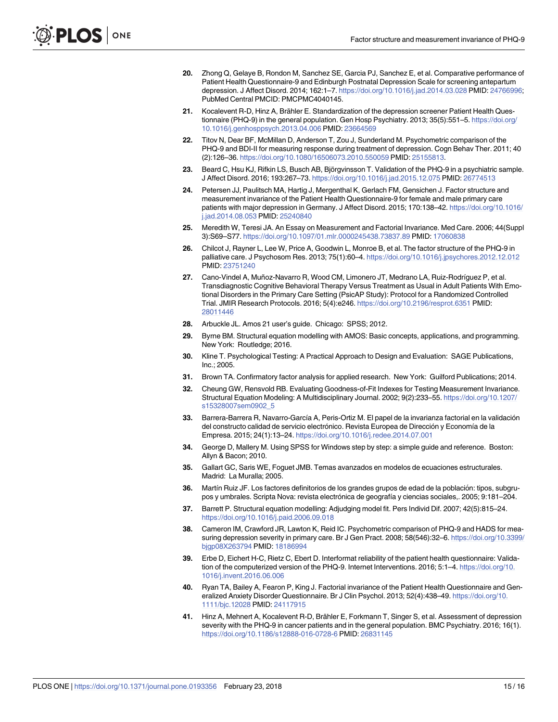- **20.** Zhong Q, Gelaye B, Rondon M, Sanchez SE, Garcia PJ, Sanchez E, et al. Comparative performance of Patient Health Questionnaire-9 and Edinburgh Postnatal Depression Scale for screening antepartum depression. J Affect Disord. 2014; 162:1–7. https://doi.org/10.1016/j.jad.2014.03.028 PMID: 24766996; PubMed Central PMCID: PMCPMC4040145.
- 21. Kocalevent R-D, Hinz A, Brähler E. Standardization of the depression screener Patient Health Questionnaire (PHQ-9) in the general population. Gen Hosp Psychiatry. 2013; 35(5):551–5. https://doi.org/ 10.1016/j.genhosppsych.2013.04.006 PMID: 23664569
- **22.** Titov N, Dear BF, McMillan D, Anderson T, Zou J, Sunderland M. Psychometric comparison of the PHQ-9 and BDI-II for measuring response during treatment of depression. Cogn Behav Ther. 2011; 40 (2):126–36. https://doi.org/10.1080/16506073.2010.550059 PMID: 25155813.
- 23. Beard C, Hsu KJ, Rifkin LS, Busch AB, Björgvinsson T. Validation of the PHQ-9 in a psychiatric sample. J Affect Disord. 2016; 193:267–73. https://doi.org/10.1016/j.jad.2015.12.075 PMID: 26774513
- **24.** Petersen JJ, Paulitsch MA, Hartig J, Mergenthal K, Gerlach FM, Gensichen J. Factor structure and measurement invariance of the Patient Health Questionnaire-9 for female and male primary care patients with major depression in Germany. J Affect Disord. 2015; 170:138–42. https://doi.org/10.1016/ j.jad.2014.08.053 PMID: 25240840
- **25.** Meredith W, Teresi JA. An Essay on Measurement and Factorial Invariance. Med Care. 2006; 44(Suppl 3):S69–S77. https://doi.org/10.1097/01.mlr.0000245438.73837.89 PMID: 17060838
- **26.** Chilcot J, Rayner L, Lee W, Price A, Goodwin L, Monroe B, et al. The factor structure of the PHQ-9 in palliative care. J Psychosom Res. 2013; 75(1):60–4. https://doi.org/10.1016/j.jpsychores.2012.12.012 PMID: 23751240
- 27. Cano-Vindel A, Muñoz-Navarro R, Wood CM, Limonero JT, Medrano LA, Ruiz-Rodríguez P, et al. Transdiagnostic Cognitive Behavioral Therapy Versus Treatment as Usual in Adult Patients With Emotional Disorders in the Primary Care Setting (PsicAP Study): Protocol for a Randomized Controlled Trial. JMIR Research Protocols. 2016; 5(4):e246. https://doi.org/10.2196/resprot.6351 PMID: 28011446
- **28.** Arbuckle JL. Amos 21 user's guide. Chicago: SPSS; 2012.
- **29.** Byrne BM. Structural equation modelling with AMOS: Basic concepts, applications, and programming. New York: Routledge; 2016.
- **30.** Kline T. Psychological Testing: A Practical Approach to Design and Evaluation: SAGE Publications, Inc.; 2005.
- **31.** Brown TA. Confirmatory factor analysis for applied research. New York: Guilford Publications; 2014.
- **32.** Cheung GW, Rensvold RB. Evaluating Goodness-of-Fit Indexes for Testing Measurement Invariance. Structural Equation Modeling: A Multidisciplinary Journal. 2002; 9(2):233–55. https://doi.org/10.1207/ s15328007sem0902\_5
- **33.** Barrera-Barrera R, Navarro-García A, Peris-Ortiz M. El papel de la invarianza factorial en la validación del constructo calidad de servicio electrónico. Revista Europea de Dirección y Economía de la Empresa. 2015; 24(1):13–24. https://doi.org/10.1016/j.redee.2014.07.001
- **34.** George D, Mallery M. Using SPSS for Windows step by step: a simple guide and reference. Boston: Allyn & Bacon; 2010.
- **35.** Gallart GC, Saris WE, Foguet JMB. Temas avanzados en modelos de ecuaciones estructurales. Madrid: La Muralla; 2005.
- **36.** Martín Ruiz JF. Los factores definitorios de los grandes grupos de edad de la población: tipos, subgrupos y umbrales. Scripta Nova: revista electrónica de geografía y ciencias sociales,. 2005; 9:181-204.
- **37.** Barrett P. Structural equation modelling: Adjudging model fit. Pers Individ Dif. 2007; 42(5):815–24. https://doi.org/10.1016/j.paid.2006.09.018
- **38.** Cameron IM, Crawford JR, Lawton K, Reid IC. Psychometric comparison of PHQ-9 and HADS for measuring depression severity in primary care. Br J Gen Pract. 2008; 58(546):32–6. https://doi.org/10.3399/ bjgp08X263794 PMID: 18186994
- **39.** Erbe D, Eichert H-C, Rietz C, Ebert D. Interformat reliability of the patient health questionnaire: Validation of the computerized version of the PHQ-9. Internet Interventions. 2016; 5:1–4. https://doi.org/10. 1016/j.invent.2016.06.006
- **40.** Ryan TA, Bailey A, Fearon P, King J. Factorial invariance of the Patient Health Questionnaire and Generalized Anxiety Disorder Questionnaire. Br J Clin Psychol. 2013; 52(4):438–49. https://doi.org/10. 1111/bjc.12028 PMID: 24117915
- 41. Hinz A, Mehnert A, Kocalevent R-D, Brähler E, Forkmann T, Singer S, et al. Assessment of depression severity with the PHQ-9 in cancer patients and in the general population. BMC Psychiatry. 2016; 16(1). https://doi.org/10.1186/s12888-016-0728-6 PMID: 26831145